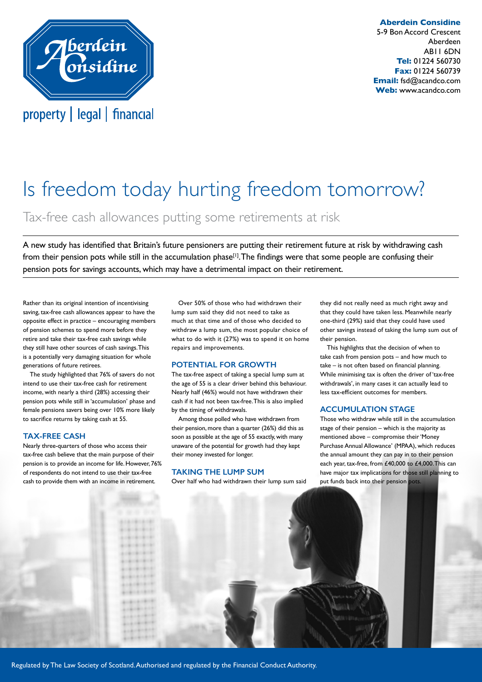

**Aberdein Considine** 5-9 Bon Accord Crescent Aberdeen AB11 6DN **Tel:** 01224 560730 **Fax:** 01224 560739 **Email:** fsd@acandco.com **Web:** www.acandco.com

# Is freedom today hurting freedom tomorrow?

Tax-free cash allowances putting some retirements at risk

A new study has identified that Britain's future pensioners are putting their retirement future at risk by withdrawing cash from their pension pots while still in the accumulation phase<sup>[1]</sup>. The findings were that some people are confusing their pension pots for savings accounts, which may have a detrimental impact on their retirement.

Rather than its original intention of incentivising saving, tax-free cash allowances appear to have the opposite effect in practice – encouraging members of pension schemes to spend more before they retire and take their tax-free cash savings while they still have other sources of cash savings. This is a potentially very damaging situation for whole generations of future retirees.

The study highlighted that 76% of savers do not intend to use their tax-free cash for retirement income, with nearly a third (28%) accessing their pension pots while still in 'accumulation' phase and female pensions savers being over 10% more likely to sacrifice returns by taking cash at 55.

#### **TAX-FREE CASH**

Nearly three-quarters of those who access their tax-free cash believe that the main purpose of their pension is to provide an income for life. However, 76% of respondents do not intend to use their tax-free cash to provide them with an income in retirement.

Over 50% of those who had withdrawn their lump sum said they did not need to take as much at that time and of those who decided to withdraw a lump sum, the most popular choice of what to do with it (27%) was to spend it on home repairs and improvements.

#### **POTENTIAL FOR GROWTH**

The tax-free aspect of taking a special lump sum at the age of 55 is a clear driver behind this behaviour. Nearly half (46%) would not have withdrawn their cash if it had not been tax-free. This is also implied by the timing of withdrawals.

Among those polled who have withdrawn from their pension, more than a quarter (26%) did this as soon as possible at the age of 55 exactly, with many unaware of the potential for growth had they kept their money invested for longer.

#### **TAKING THE LUMP SUM**

Over half who had withdrawn their lump sum said

they did not really need as much right away and that they could have taken less. Meanwhile nearly one-third (29%) said that they could have used other savings instead of taking the lump sum out of their pension.

This highlights that the decision of when to take cash from pension pots – and how much to take – is not often based on financial planning. While minimising tax is often the driver of 'tax-free withdrawals', in many cases it can actually lead to less tax-efficient outcomes for members.

### **ACCUMULATION STAGE**

Those who withdraw while still in the accumulation stage of their pension – which is the majority as mentioned above – compromise their 'Money Purchase Annual Allowance' (MPAA), which reduces the annual amount they can pay in to their pension each year, tax-free, from £40,000 to £4,000. This can have major tax implications for those still planning to put funds back into their pension